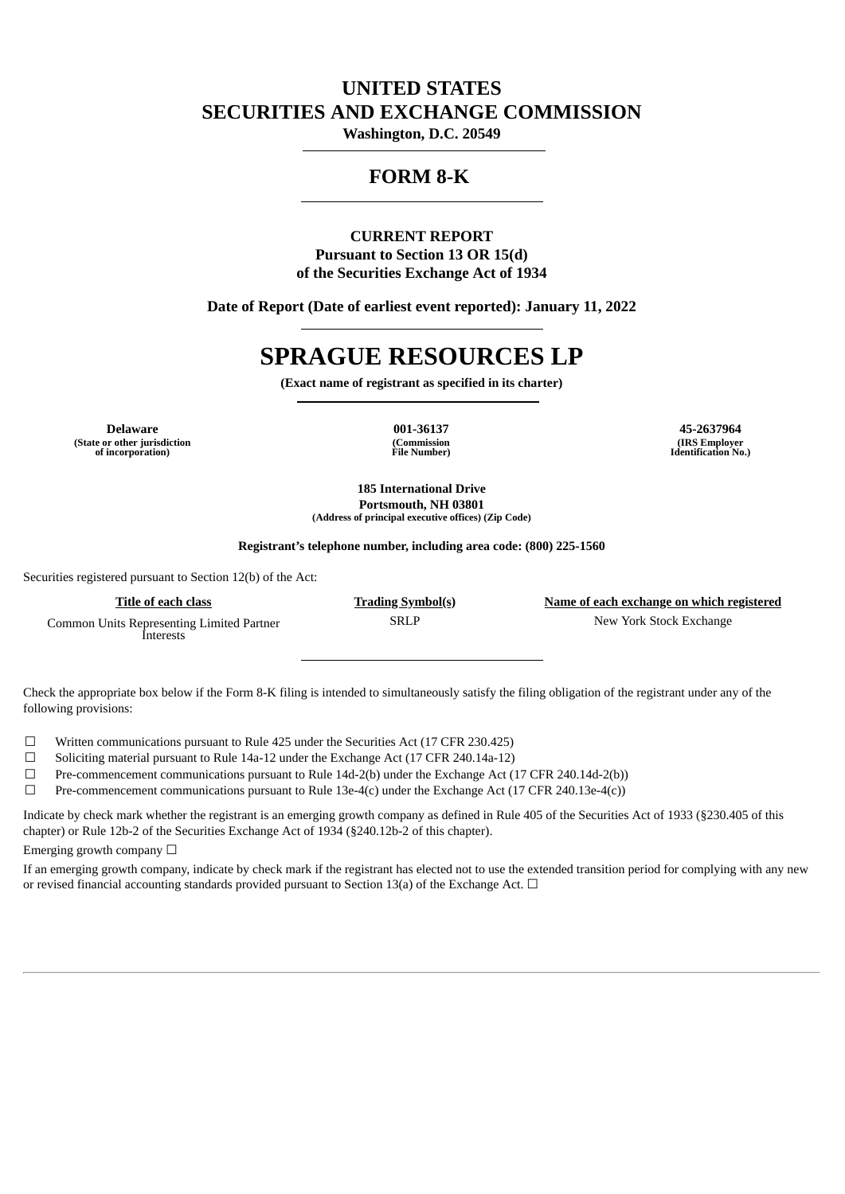# **UNITED STATES SECURITIES AND EXCHANGE COMMISSION**

**Washington, D.C. 20549**

# **FORM 8-K**

# **CURRENT REPORT Pursuant to Section 13 OR 15(d) of the Securities Exchange Act of 1934**

**Date of Report (Date of earliest event reported): January 11, 2022**

# **SPRAGUE RESOURCES LP**

**(Exact name of registrant as specified in its charter)**

**Delaware 001-36137 45-2637964 (State or other jurisdiction of incorporation)**

**(Commission File Number)**

**(IRS Employer Identification No.)**

**185 International Drive Portsmouth, NH 03801 (Address of principal executive offices) (Zip Code)**

**Registrant's telephone number, including area code: (800) 225-1560**

Securities registered pursuant to Section 12(b) of the Act:

**Title of each class Trading Symbol(s) Name of each exchange on which registered** Common Units Representing Limited Partner Interests SRLP New York Stock Exchange

Check the appropriate box below if the Form 8-K filing is intended to simultaneously satisfy the filing obligation of the registrant under any of the following provisions:

☐ Written communications pursuant to Rule 425 under the Securities Act (17 CFR 230.425)

☐ Soliciting material pursuant to Rule 14a-12 under the Exchange Act (17 CFR 240.14a-12)

☐ Pre-commencement communications pursuant to Rule 14d-2(b) under the Exchange Act (17 CFR 240.14d-2(b))

☐ Pre-commencement communications pursuant to Rule 13e-4(c) under the Exchange Act (17 CFR 240.13e-4(c))

Indicate by check mark whether the registrant is an emerging growth company as defined in Rule 405 of the Securities Act of 1933 (§230.405 of this chapter) or Rule 12b-2 of the Securities Exchange Act of 1934 (§240.12b-2 of this chapter).

Emerging growth company  $\Box$ 

If an emerging growth company, indicate by check mark if the registrant has elected not to use the extended transition period for complying with any new or revised financial accounting standards provided pursuant to Section 13(a) of the Exchange Act.  $\Box$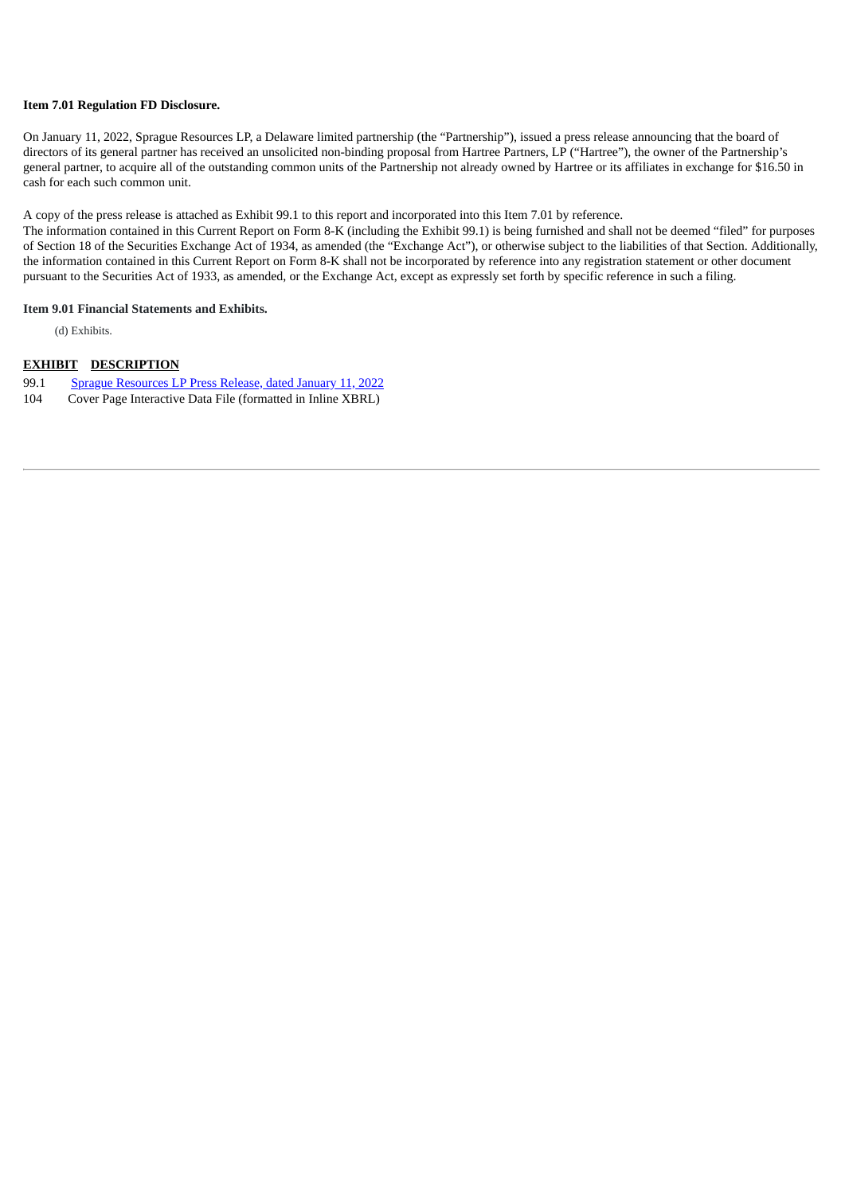## **Item 7.01 Regulation FD Disclosure.**

On January 11, 2022, Sprague Resources LP, a Delaware limited partnership (the "Partnership"), issued a press release announcing that the board of directors of its general partner has received an unsolicited non-binding proposal from Hartree Partners, LP ("Hartree"), the owner of the Partnership's general partner, to acquire all of the outstanding common units of the Partnership not already owned by Hartree or its affiliates in exchange for \$16.50 in cash for each such common unit.

A copy of the press release is attached as Exhibit 99.1 to this report and incorporated into this Item 7.01 by reference.

The information contained in this Current Report on Form 8-K (including the Exhibit 99.1) is being furnished and shall not be deemed "filed" for purposes of Section 18 of the Securities Exchange Act of 1934, as amended (the "Exchange Act"), or otherwise subject to the liabilities of that Section. Additionally, the information contained in this Current Report on Form 8-K shall not be incorporated by reference into any registration statement or other document pursuant to the Securities Act of 1933, as amended, or the Exchange Act, except as expressly set forth by specific reference in such a filing.

#### **Item 9.01 Financial Statements and Exhibits.**

(d) Exhibits.

# **EXHIBIT DESCRIPTION**

- 99.1 Sprague [Resources](#page-3-0) LP Press Release, dated January 11, 2022
- 104 Cover Page Interactive Data File (formatted in Inline XBRL)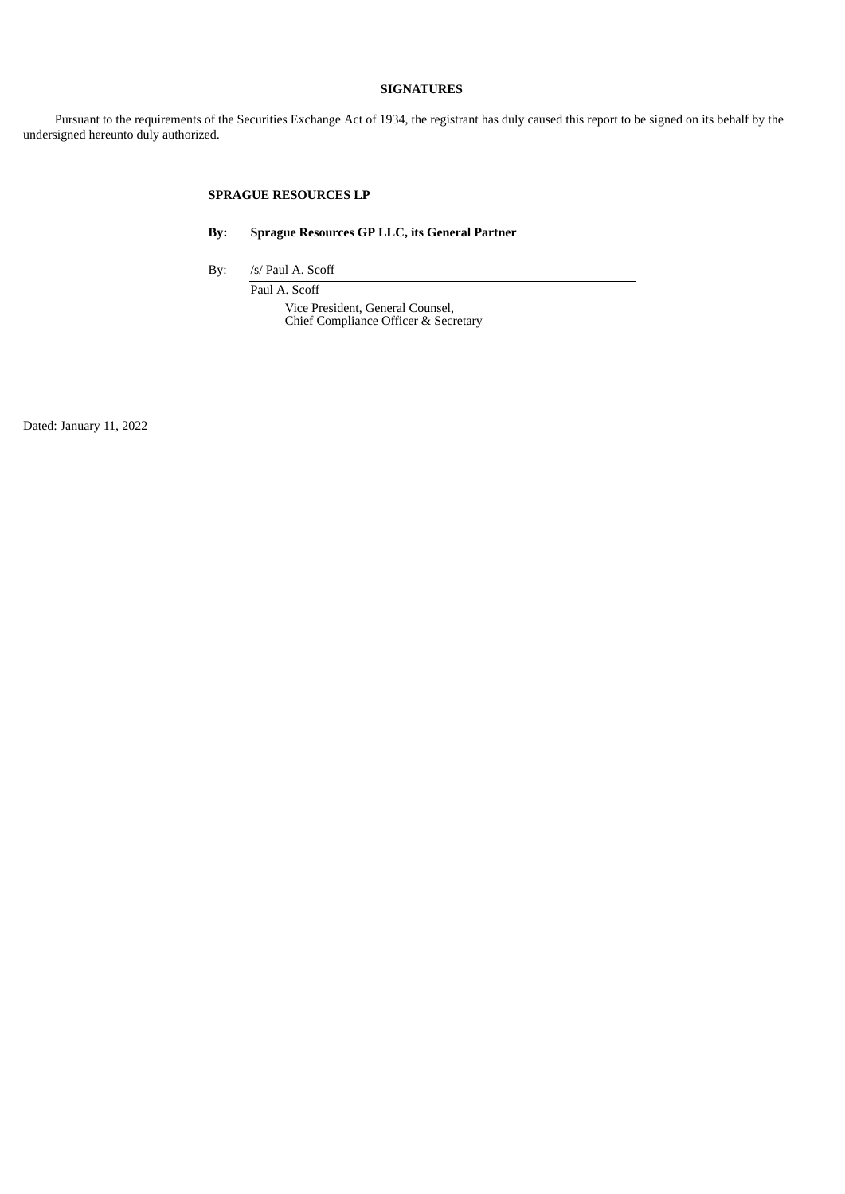# **SIGNATURES**

Pursuant to the requirements of the Securities Exchange Act of 1934, the registrant has duly caused this report to be signed on its behalf by the undersigned hereunto duly authorized.

# **SPRAGUE RESOURCES LP**

**By: Sprague Resources GP LLC, its General Partner**

By: /s/ Paul A. Scoff

Paul A. Scoff Vice President, General Counsel, Chief Compliance Officer & Secretary

Dated: January 11, 2022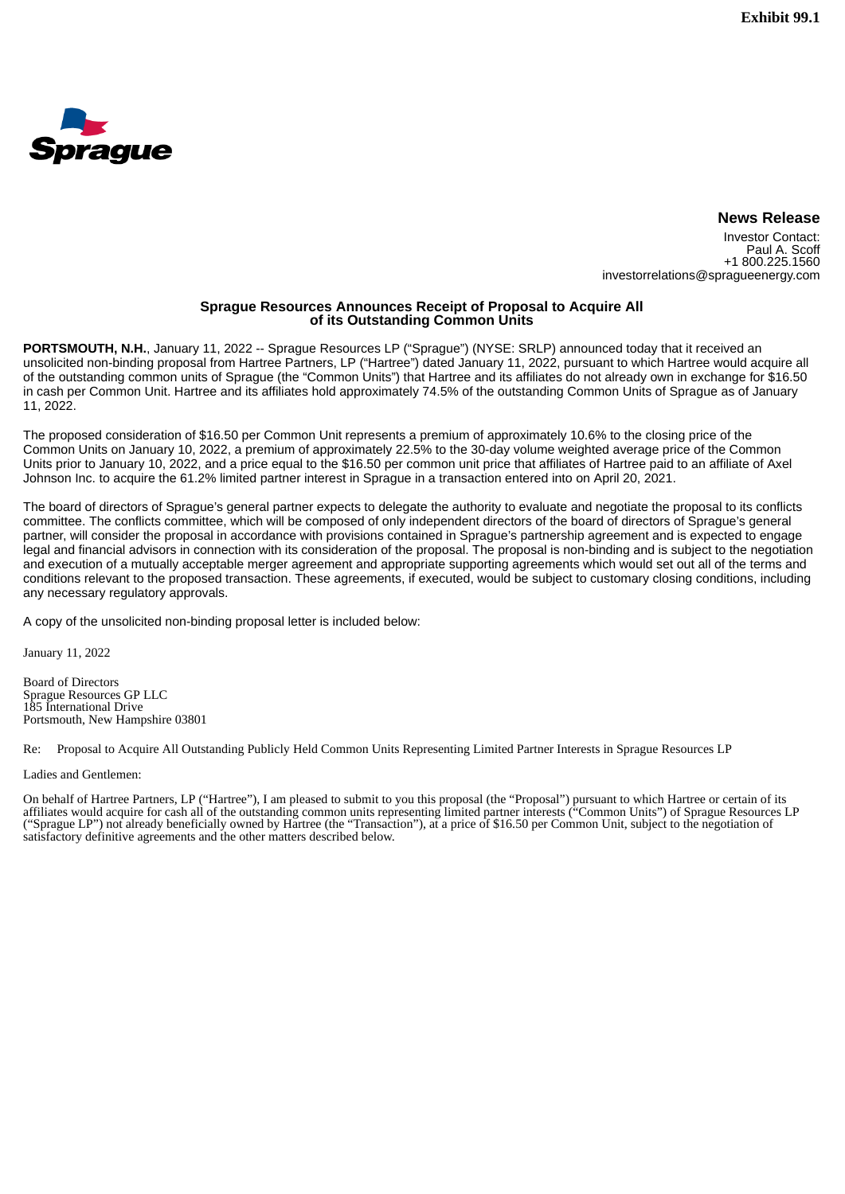<span id="page-3-0"></span>

## **News Release**

Investor Contact: Paul A. Scoff +1 800.225.1560 investorrelations@spragueenergy.com

### **Sprague Resources Announces Receipt of Proposal to Acquire All of its Outstanding Common Units**

**PORTSMOUTH, N.H.**, January 11, 2022 -- Sprague Resources LP ("Sprague") (NYSE: SRLP) announced today that it received an unsolicited non-binding proposal from Hartree Partners, LP ("Hartree") dated January 11, 2022, pursuant to which Hartree would acquire all of the outstanding common units of Sprague (the "Common Units") that Hartree and its affiliates do not already own in exchange for \$16.50 in cash per Common Unit. Hartree and its affiliates hold approximately 74.5% of the outstanding Common Units of Sprague as of January 11, 2022.

The proposed consideration of \$16.50 per Common Unit represents a premium of approximately 10.6% to the closing price of the Common Units on January 10, 2022, a premium of approximately 22.5% to the 30-day volume weighted average price of the Common Units prior to January 10, 2022, and a price equal to the \$16.50 per common unit price that affiliates of Hartree paid to an affiliate of Axel Johnson Inc. to acquire the 61.2% limited partner interest in Sprague in a transaction entered into on April 20, 2021.

The board of directors of Sprague's general partner expects to delegate the authority to evaluate and negotiate the proposal to its conflicts committee. The conflicts committee, which will be composed of only independent directors of the board of directors of Sprague's general partner, will consider the proposal in accordance with provisions contained in Sprague's partnership agreement and is expected to engage legal and financial advisors in connection with its consideration of the proposal. The proposal is non-binding and is subject to the negotiation and execution of a mutually acceptable merger agreement and appropriate supporting agreements which would set out all of the terms and conditions relevant to the proposed transaction. These agreements, if executed, would be subject to customary closing conditions, including any necessary regulatory approvals.

A copy of the unsolicited non-binding proposal letter is included below:

January 11, 2022

Board of Directors Sprague Resources GP LLC 185 International Drive Portsmouth, New Hampshire 03801

Re: Proposal to Acquire All Outstanding Publicly Held Common Units Representing Limited Partner Interests in Sprague Resources LP

Ladies and Gentlemen:

On behalf of Hartree Partners, LP ("Hartree"), I am pleased to submit to you this proposal (the "Proposal") pursuant to which Hartree or certain of its affiliates would acquire for cash all of the outstanding common units representing limited partner interests ("Common Units") of Sprague Resources LP ("Sprague LP") not already beneficially owned by Hartree (the "Transaction"), at a price of \$16.50 per Common Unit, subject to the negotiation of satisfactory definitive agreements and the other matters described below.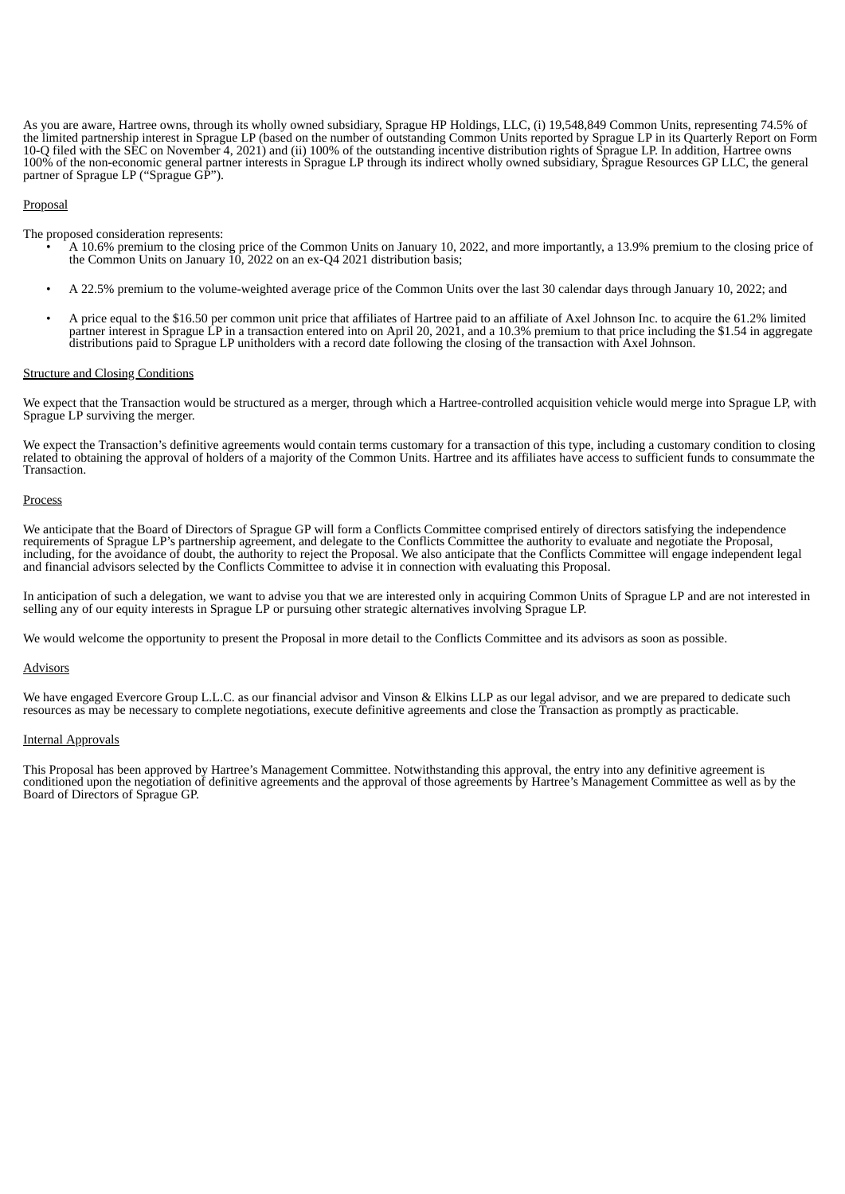As you are aware, Hartree owns, through its wholly owned subsidiary, Sprague HP Holdings, LLC, (i) 19,548,849 Common Units, representing 74.5% of the limited partnership interest in Sprague LP (based on the number of outstanding Common Units reported by Sprague LP in its Quarterly Report on Form 10-Q filed with the SEC on November 4, 2021) and (ii) 100% of the outstanding incentive distribution rights of Sprague LP. In addition, Hartree owns 100% of the non-economic general partner interests in Sprague LP through its indirect wholly owned subsidiary, Sprague Resources GP LLC, the general partner of Sprague LP ("Sprague GP").

#### **Proposal**

The proposed consideration represents:

- A 10.6% premium to the closing price of the Common Units on January 10, 2022, and more importantly, a 13.9% premium to the closing price of the Common Units on January 10, 2022 on an ex-Q4 2021 distribution basis;
- A 22.5% premium to the volume-weighted average price of the Common Units over the last 30 calendar days through January 10, 2022; and
- A price equal to the \$16.50 per common unit price that affiliates of Hartree paid to an affiliate of Axel Johnson Inc. to acquire the 61.2% limited partner interest in Sprague LP in a transaction entered into on April 20, 2021, and a 10.3% premium to that price including the \$1.54 in aggregate distributions paid to Sprague LP unitholders with a record date following the closing of the transaction with Axel Johnson.

#### Structure and Closing Conditions

We expect that the Transaction would be structured as a merger, through which a Hartree-controlled acquisition vehicle would merge into Sprague LP, with Sprague LP surviving the merger.

We expect the Transaction's definitive agreements would contain terms customary for a transaction of this type, including a customary condition to closing related to obtaining the approval of holders of a majority of the Common Units. Hartree and its affiliates have access to sufficient funds to consummate the Transaction.

#### **Process**

We anticipate that the Board of Directors of Sprague GP will form a Conflicts Committee comprised entirely of directors satisfying the independence requirements of Sprague LP's partnership agreement, and delegate to the Conflicts Committee the authority to evaluate and negotiate the Proposal, including, for the avoidance of doubt, the authority to reject the Proposal. We also anticipate that the Conflicts Committee will engage independent legal and financial advisors selected by the Conflicts Committee to advise it in connection with evaluating this Proposal.

In anticipation of such a delegation, we want to advise you that we are interested only in acquiring Common Units of Sprague LP and are not interested in selling any of our equity interests in Sprague LP or pursuing other strategic alternatives involving Sprague LP.

We would welcome the opportunity to present the Proposal in more detail to the Conflicts Committee and its advisors as soon as possible.

#### **Advisors**

We have engaged Evercore Group L.L.C. as our financial advisor and Vinson & Elkins LLP as our legal advisor, and we are prepared to dedicate such resources as may be necessary to complete negotiations, execute definitive agreements and close the Transaction as promptly as practicable.

#### Internal Approvals

This Proposal has been approved by Hartree's Management Committee. Notwithstanding this approval, the entry into any definitive agreement is conditioned upon the negotiation of definitive agreements and the approval of those agreements by Hartree's Management Committee as well as by the Board of Directors of Sprague GP.